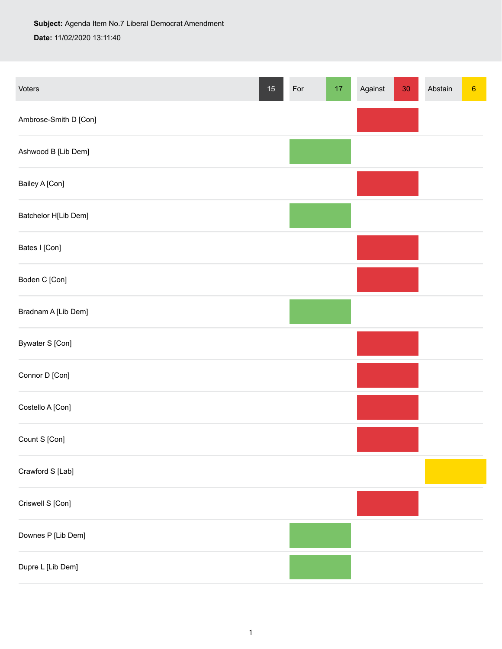## **Subject:** Agenda Item No.7 Liberal Democrat Amendment **Date:** 11/02/2020 13:11:40

| Voters                | $15\,$ | For | $17\,$ | Against | $30\,$ | Abstain | $\boldsymbol{6}$ |
|-----------------------|--------|-----|--------|---------|--------|---------|------------------|
| Ambrose-Smith D [Con] |        |     |        |         |        |         |                  |
| Ashwood B [Lib Dem]   |        |     |        |         |        |         |                  |
| Bailey A [Con]        |        |     |        |         |        |         |                  |
| Batchelor H[Lib Dem]  |        |     |        |         |        |         |                  |
| Bates I [Con]         |        |     |        |         |        |         |                  |
| Boden C [Con]         |        |     |        |         |        |         |                  |
| Bradnam A [Lib Dem]   |        |     |        |         |        |         |                  |
| Bywater S [Con]       |        |     |        |         |        |         |                  |
| Connor D [Con]        |        |     |        |         |        |         |                  |
| Costello A [Con]      |        |     |        |         |        |         |                  |
| Count S [Con]         |        |     |        |         |        |         |                  |
| Crawford S [Lab]      |        |     |        |         |        |         |                  |
| Criswell S [Con]      |        |     |        |         |        |         |                  |
| Downes P [Lib Dem]    |        |     |        |         |        |         |                  |
| Dupre L [Lib Dem]     |        |     |        |         |        |         |                  |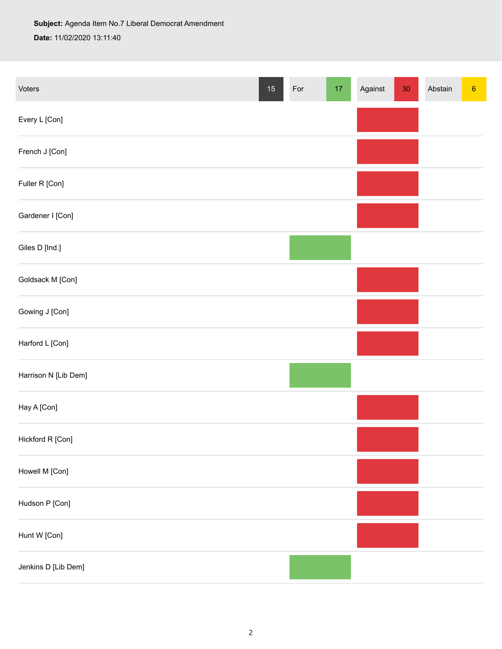| Voters               | $15\,$ | For | $17\,$ | Against | $30\,$ | Abstain | $6\phantom{.}6$ |
|----------------------|--------|-----|--------|---------|--------|---------|-----------------|
| Every L [Con]        |        |     |        |         |        |         |                 |
| French J [Con]       |        |     |        |         |        |         |                 |
| Fuller R [Con]       |        |     |        |         |        |         |                 |
| Gardener I [Con]     |        |     |        |         |        |         |                 |
| Giles D [Ind.]       |        |     |        |         |        |         |                 |
| Goldsack M [Con]     |        |     |        |         |        |         |                 |
| Gowing J [Con]       |        |     |        |         |        |         |                 |
| Harford L [Con]      |        |     |        |         |        |         |                 |
| Harrison N [Lib Dem] |        |     |        |         |        |         |                 |
| Hay A [Con]          |        |     |        |         |        |         |                 |
| Hickford R [Con]     |        |     |        |         |        |         |                 |
| Howell M [Con]       |        |     |        |         |        |         |                 |
| Hudson P [Con]       |        |     |        |         |        |         |                 |
| Hunt W [Con]         |        |     |        |         |        |         |                 |
| Jenkins D [Lib Dem]  |        |     |        |         |        |         |                 |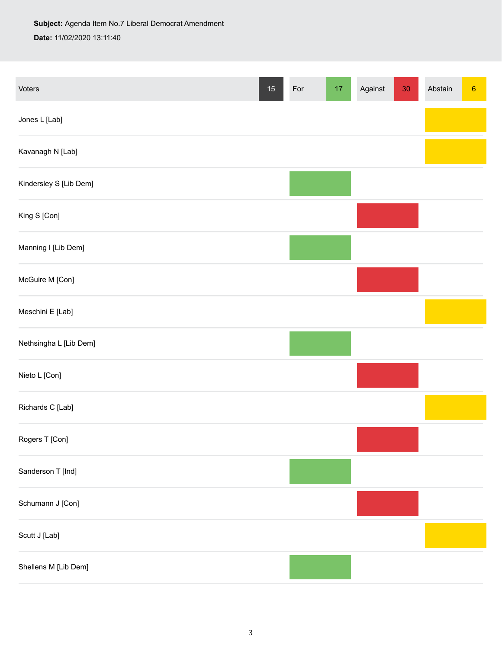**Subject:** Agenda Item No.7 Liberal Democrat Amendment **Date:** 11/02/2020 13:11:40

| Voters                 | $15\,$ | For | $17\,$ | Against | $30\,$ | Abstain | $\boldsymbol{6}$ |
|------------------------|--------|-----|--------|---------|--------|---------|------------------|
| Jones L [Lab]          |        |     |        |         |        |         |                  |
| Kavanagh N [Lab]       |        |     |        |         |        |         |                  |
| Kindersley S [Lib Dem] |        |     |        |         |        |         |                  |
| King S [Con]           |        |     |        |         |        |         |                  |
| Manning I [Lib Dem]    |        |     |        |         |        |         |                  |
| McGuire M [Con]        |        |     |        |         |        |         |                  |
| Meschini E [Lab]       |        |     |        |         |        |         |                  |
| Nethsingha L [Lib Dem] |        |     |        |         |        |         |                  |
| Nieto L [Con]          |        |     |        |         |        |         |                  |
| Richards C [Lab]       |        |     |        |         |        |         |                  |
| Rogers T [Con]         |        |     |        |         |        |         |                  |
| Sanderson T [Ind]      |        |     |        |         |        |         |                  |
| Schumann J [Con]       |        |     |        |         |        |         |                  |
| Scutt J [Lab]          |        |     |        |         |        |         |                  |
| Shellens M [Lib Dem]   |        |     |        |         |        |         |                  |